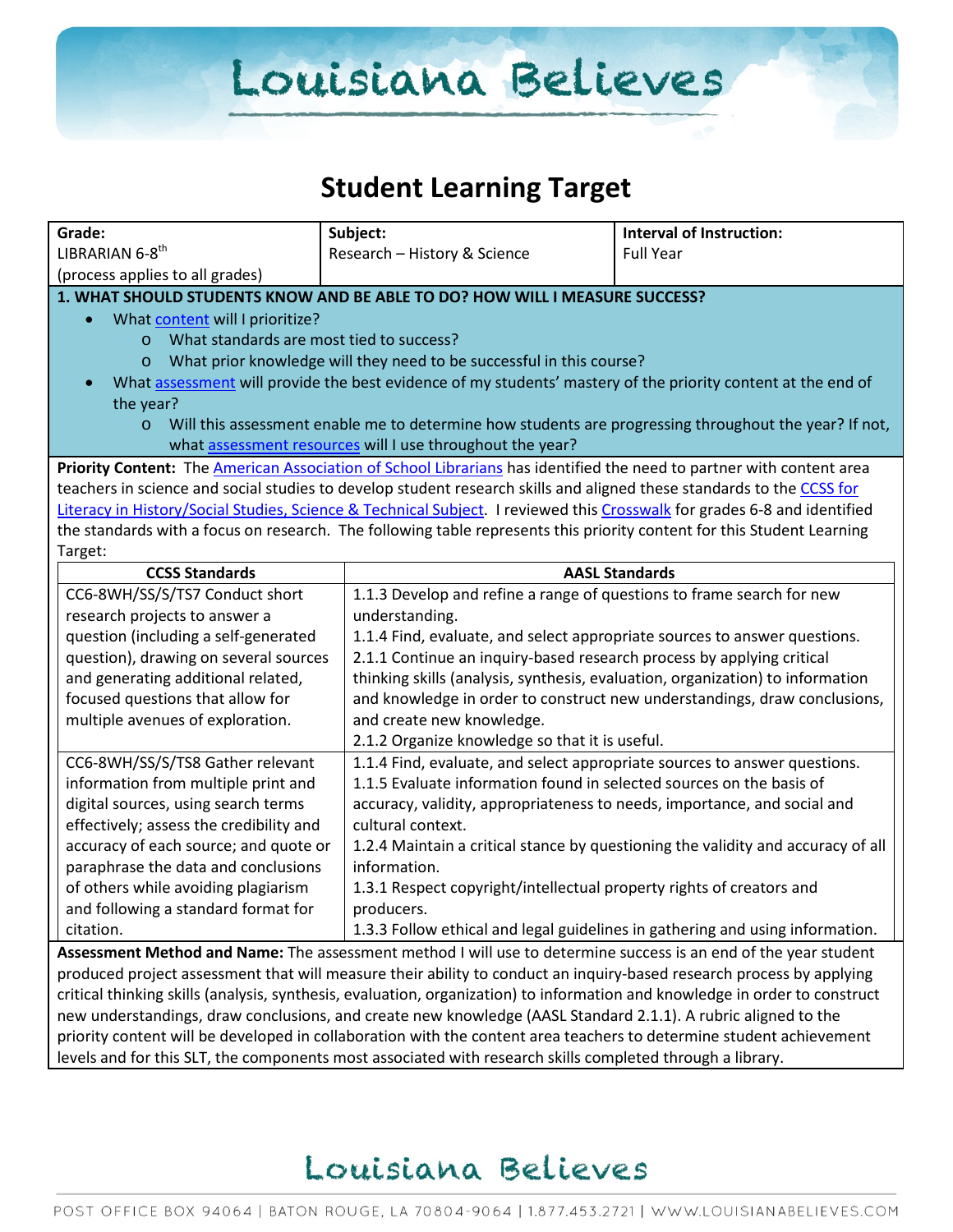# Louisiana Believes

### **Student Learning Target**

| Grade:                                                                                                                      | Subject:                                                                                                                                                                                                                             | <b>Interval of Instruction:</b>                                               |  |  |
|-----------------------------------------------------------------------------------------------------------------------------|--------------------------------------------------------------------------------------------------------------------------------------------------------------------------------------------------------------------------------------|-------------------------------------------------------------------------------|--|--|
| LIBRARIAN 6-8th                                                                                                             | Research - History & Science                                                                                                                                                                                                         | <b>Full Year</b>                                                              |  |  |
| (process applies to all grades)                                                                                             |                                                                                                                                                                                                                                      |                                                                               |  |  |
|                                                                                                                             | 1. WHAT SHOULD STUDENTS KNOW AND BE ABLE TO DO? HOW WILL I MEASURE SUCCESS?                                                                                                                                                          |                                                                               |  |  |
| What content will I prioritize?<br>$\bullet$                                                                                |                                                                                                                                                                                                                                      |                                                                               |  |  |
| What standards are most tied to success?<br>$\circ$                                                                         |                                                                                                                                                                                                                                      |                                                                               |  |  |
| $\circ$                                                                                                                     | What prior knowledge will they need to be successful in this course?                                                                                                                                                                 |                                                                               |  |  |
| $\bullet$                                                                                                                   | What assessment will provide the best evidence of my students' mastery of the priority content at the end of                                                                                                                         |                                                                               |  |  |
| the year?                                                                                                                   |                                                                                                                                                                                                                                      |                                                                               |  |  |
| $\circ$                                                                                                                     | Will this assessment enable me to determine how students are progressing throughout the year? If not,                                                                                                                                |                                                                               |  |  |
|                                                                                                                             | what assessment resources will I use throughout the year?                                                                                                                                                                            |                                                                               |  |  |
|                                                                                                                             | Priority Content: The American Association of School Librarians has identified the need to partner with content area                                                                                                                 |                                                                               |  |  |
|                                                                                                                             | teachers in science and social studies to develop student research skills and aligned these standards to the CCSS for                                                                                                                |                                                                               |  |  |
| Literacy in History/Social Studies, Science & Technical Subject. I reviewed this Crosswalk for grades 6-8 and identified    |                                                                                                                                                                                                                                      |                                                                               |  |  |
|                                                                                                                             | the standards with a focus on research. The following table represents this priority content for this Student Learning                                                                                                               |                                                                               |  |  |
| Target:                                                                                                                     |                                                                                                                                                                                                                                      |                                                                               |  |  |
| <b>CCSS Standards</b>                                                                                                       | <b>AASL Standards</b>                                                                                                                                                                                                                |                                                                               |  |  |
| CC6-8WH/SS/S/TS7 Conduct short                                                                                              | 1.1.3 Develop and refine a range of questions to frame search for new                                                                                                                                                                |                                                                               |  |  |
| research projects to answer a                                                                                               | understanding.                                                                                                                                                                                                                       |                                                                               |  |  |
| question (including a self-generated                                                                                        |                                                                                                                                                                                                                                      | 1.1.4 Find, evaluate, and select appropriate sources to answer questions.     |  |  |
| question), drawing on several sources                                                                                       |                                                                                                                                                                                                                                      | 2.1.1 Continue an inquiry-based research process by applying critical         |  |  |
| and generating additional related,                                                                                          | thinking skills (analysis, synthesis, evaluation, organization) to information                                                                                                                                                       |                                                                               |  |  |
| focused questions that allow for                                                                                            |                                                                                                                                                                                                                                      | and knowledge in order to construct new understandings, draw conclusions,     |  |  |
| multiple avenues of exploration.                                                                                            | and create new knowledge.                                                                                                                                                                                                            |                                                                               |  |  |
|                                                                                                                             | 2.1.2 Organize knowledge so that it is useful.                                                                                                                                                                                       |                                                                               |  |  |
| CC6-8WH/SS/S/TS8 Gather relevant                                                                                            | 1.1.4 Find, evaluate, and select appropriate sources to answer questions.                                                                                                                                                            |                                                                               |  |  |
| information from multiple print and                                                                                         | 1.1.5 Evaluate information found in selected sources on the basis of                                                                                                                                                                 |                                                                               |  |  |
| digital sources, using search terms                                                                                         | accuracy, validity, appropriateness to needs, importance, and social and                                                                                                                                                             |                                                                               |  |  |
| effectively; assess the credibility and                                                                                     | cultural context.                                                                                                                                                                                                                    |                                                                               |  |  |
| accuracy of each source; and quote or                                                                                       | 1.2.4 Maintain a critical stance by questioning the validity and accuracy of all                                                                                                                                                     |                                                                               |  |  |
| paraphrase the data and conclusions                                                                                         | information.                                                                                                                                                                                                                         |                                                                               |  |  |
| of others while avoiding plagiarism                                                                                         | 1.3.1 Respect copyright/intellectual property rights of creators and                                                                                                                                                                 |                                                                               |  |  |
| and following a standard format for                                                                                         | producers.                                                                                                                                                                                                                           |                                                                               |  |  |
| citation.                                                                                                                   |                                                                                                                                                                                                                                      | 1.3.3 Follow ethical and legal guidelines in gathering and using information. |  |  |
| Assessment Method and Name: The assessment method I will use to determine success is an end of the year student             |                                                                                                                                                                                                                                      |                                                                               |  |  |
| produced project assessment that will measure their ability to conduct an inquiry-based research process by applying        |                                                                                                                                                                                                                                      |                                                                               |  |  |
| critical thinking skills (analysis, synthesis, evaluation, organization) to information and knowledge in order to construct |                                                                                                                                                                                                                                      |                                                                               |  |  |
|                                                                                                                             |                                                                                                                                                                                                                                      |                                                                               |  |  |
|                                                                                                                             | new understandings, draw conclusions, and create new knowledge (AASL Standard 2.1.1). A rubric aligned to the<br>priority content will be developed in collaboration with the content area teachers to determine student achievement |                                                                               |  |  |

levels and for this SLT, the components most associated with research skills completed through a library.

## Louisiana Believes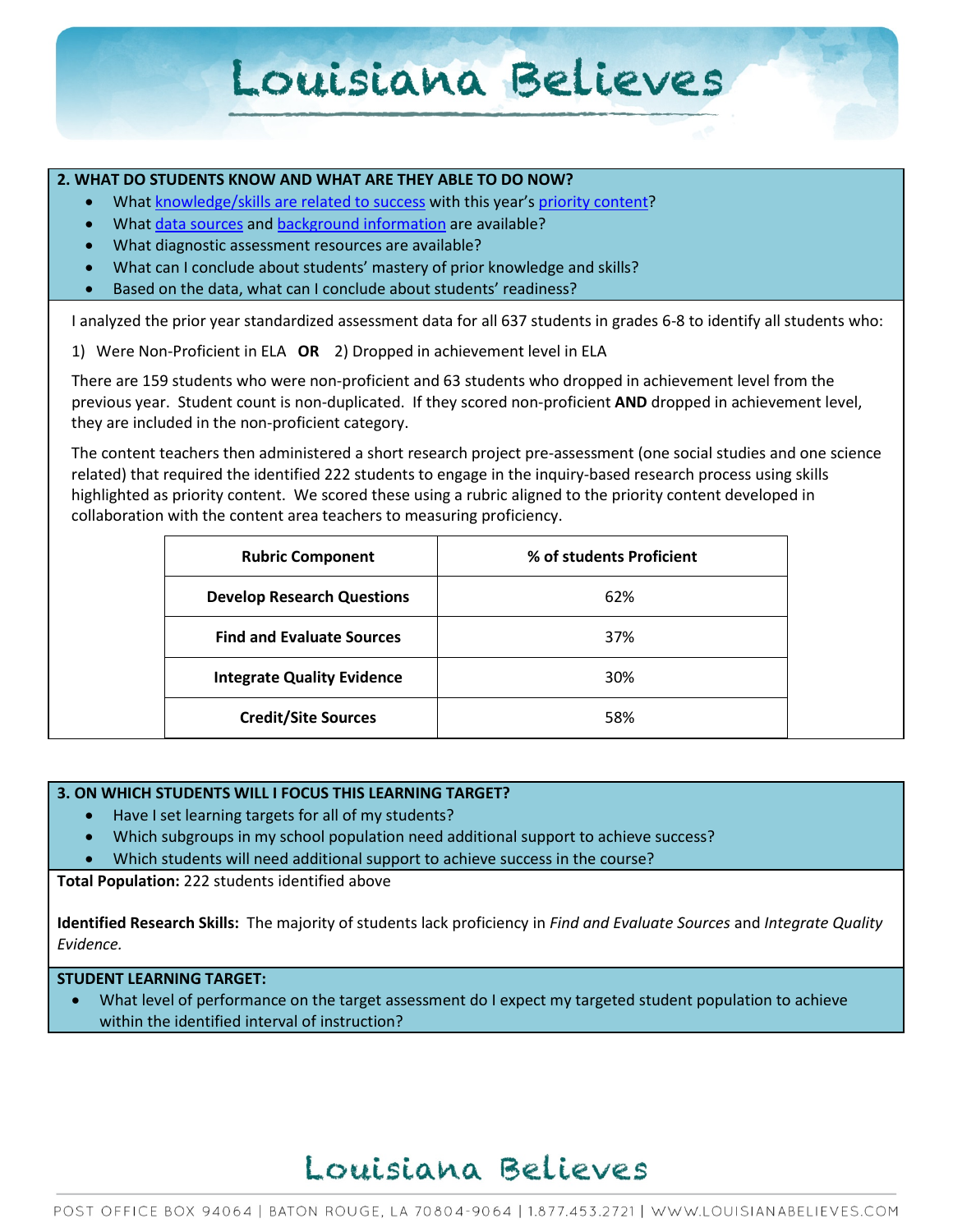## Louisiana Believes

### **2. WHAT DO STUDENTS KNOW AND WHAT ARE THEY ABLE TO DO NOW?**

- Wha[t knowledge/skills are related to success](http://www.louisianabelieves.com/academics/2014-2015-curricular-package) with this year's [priority content?](http://www.louisianabelieves.com/resources/classroom-support-toolbox/teacher-support-toolbox/standards)
- Wha[t data sources](http://www.louisianabelieves.com/resources/classroom-support-toolbox/teacher-support-toolbox/student-achievement-results) and [background information](http://www.louisianabelieves.com/resources/library/data-center) are available?
- What diagnostic assessment resources are available?
- What can I conclude about students' mastery of prior knowledge and skills?
- Based on the data, what can I conclude about students' readiness?

I analyzed the prior year standardized assessment data for all 637 students in grades 6-8 to identify all students who:

1) Were Non-Proficient in ELA **OR** 2) Dropped in achievement level in ELA

There are 159 students who were non-proficient and 63 students who dropped in achievement level from the previous year. Student count is non-duplicated. If they scored non-proficient **AND** dropped in achievement level, they are included in the non-proficient category.

The content teachers then administered a short research project pre-assessment (one social studies and one science related) that required the identified 222 students to engage in the inquiry-based research process using skills highlighted as priority content. We scored these using a rubric aligned to the priority content developed in collaboration with the content area teachers to measuring proficiency.

| <b>Rubric Component</b>           | % of students Proficient |  |
|-----------------------------------|--------------------------|--|
| <b>Develop Research Questions</b> | 62%                      |  |
| <b>Find and Evaluate Sources</b>  | 37%                      |  |
| <b>Integrate Quality Evidence</b> | 30%                      |  |
| <b>Credit/Site Sources</b>        | 58%                      |  |

### **3. ON WHICH STUDENTS WILL I FOCUS THIS LEARNING TARGET?**

- Have I set learning targets for all of my students?
- Which subgroups in my school population need additional support to achieve success?
- Which students will need additional support to achieve success in the course?

**Total Population:** 222 students identified above

**Identified Research Skills:** The majority of students lack proficiency in *Find and Evaluate Sources* and *Integrate Quality Evidence.*

**STUDENT LEARNING TARGET:**

What level of performance on the target assessment do I expect my targeted student population to achieve within the identified interval of instruction?

### Louisiana Believes